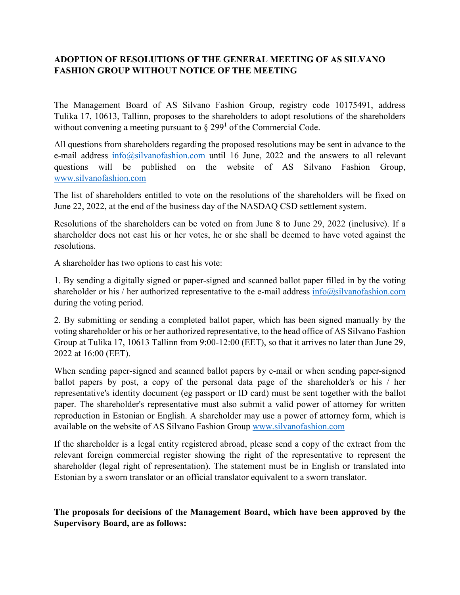## **ADOPTION OF RESOLUTIONS OF THE GENERAL MEETING OF AS SILVANO FASHION GROUP WITHOUT NOTICE OF THE MEETING**

The Management Board of AS Silvano Fashion Group, registry code 10175491, address Tulika 17, 10613, Tallinn, proposes to the shareholders to adopt resolutions of the shareholders without convening a meeting pursuant to  $\S 299^1$  of the Commercial Code.

All questions from shareholders regarding the proposed resolutions may be sent in advance to the e-mail address [info@silvanofashion.com](mailto:info@silvanofashion.com) until 16 June, 2022 and the answers to all relevant questions will be published on the website of AS Silvano Fashion Group, [www.silvanofashion.com](http://www.silvanofashion.com/)

The list of shareholders entitled to vote on the resolutions of the shareholders will be fixed on June 22, 2022, at the end of the business day of the NASDAQ CSD settlement system.

Resolutions of the shareholders can be voted on from June 8 to June 29, 2022 (inclusive). If a shareholder does not cast his or her votes, he or she shall be deemed to have voted against the resolutions.

A shareholder has two options to cast his vote:

1. By sending a digitally signed or paper-signed and scanned ballot paper filled in by the voting shareholder or his / her authorized representative to the e-mail address [info@silvanofashion.com](mailto:info@silvanofashion.com) during the voting period.

2. By submitting or sending a completed ballot paper, which has been signed manually by the voting shareholder or his or her authorized representative, to the head office of AS Silvano Fashion Group at Tulika 17, 10613 Tallinn from 9:00-12:00 (EET), so that it arrives no later than June 29, 2022 at 16:00 (EET).

When sending paper-signed and scanned ballot papers by e-mail or when sending paper-signed ballot papers by post, a copy of the personal data page of the shareholder's or his / her representative's identity document (eg passport or ID card) must be sent together with the ballot paper. The shareholder's representative must also submit a valid power of attorney for written reproduction in Estonian or English. A shareholder may use a power of attorney form, which is available on the website of AS Silvano Fashion Group [www.silvanofashion.com](http://www.silvanofashion.com/)

If the shareholder is a legal entity registered abroad, please send a copy of the extract from the relevant foreign commercial register showing the right of the representative to represent the shareholder (legal right of representation). The statement must be in English or translated into Estonian by a sworn translator or an official translator equivalent to a sworn translator.

**The proposals for decisions of the Management Board, which have been approved by the Supervisory Board, are as follows:**